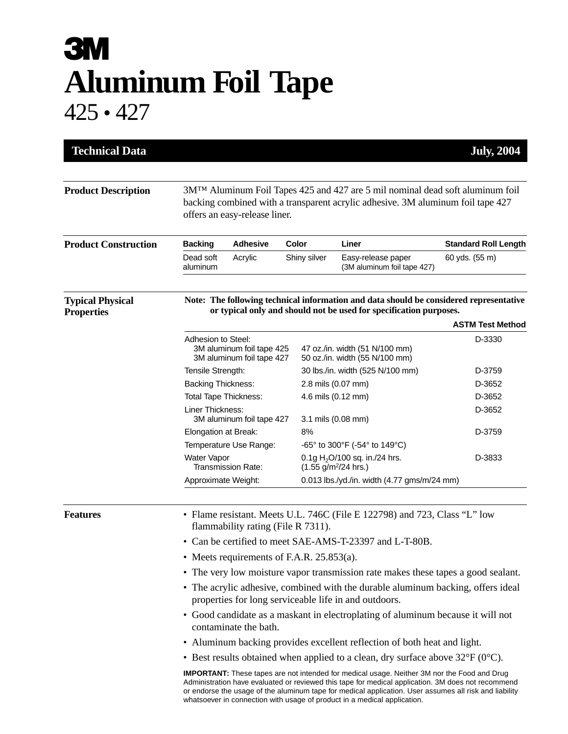## **3M Aluminum Foil Tape** 425 • 427

| <b>Technical Data</b>                        |                                                                                                                                                                                                      |                           |              |                                                                        | <b>July, 2004</b>                 |  |
|----------------------------------------------|------------------------------------------------------------------------------------------------------------------------------------------------------------------------------------------------------|---------------------------|--------------|------------------------------------------------------------------------|-----------------------------------|--|
| <b>Product Description</b>                   | $3MTM$ Aluminum Foil Tapes 425 and 427 are 5 mil nominal dead soft aluminum foil<br>backing combined with a transparent acrylic adhesive. 3M aluminum foil tape 427<br>offers an easy-release liner. |                           |              |                                                                        |                                   |  |
| <b>Product Construction</b>                  | <b>Backing</b>                                                                                                                                                                                       | <b>Adhesive</b>           | Color        | Liner                                                                  | <b>Standard Roll Length</b>       |  |
|                                              | Dead soft<br>aluminum                                                                                                                                                                                | Acrylic                   | Shiny silver | Easy-release paper<br>(3M aluminum foil tape 427)                      | 60 yds. (55 m)                    |  |
| <b>Typical Physical</b><br><b>Properties</b> | Note: The following technical information and data should be considered representative<br>or typical only and should not be used for specification purposes.                                         |                           |              |                                                                        |                                   |  |
|                                              | Adhesion to Steel:                                                                                                                                                                                   | 3M aluminum foil tape 425 |              | 47 oz./in. width (51 N/100 mm)                                         | <b>ASTM Test Method</b><br>D-3330 |  |
|                                              | 3M aluminum foil tape 427                                                                                                                                                                            |                           |              | 50 oz./in. width (55 N/100 mm)                                         |                                   |  |
|                                              | Tensile Strength:<br><b>Backing Thickness:</b>                                                                                                                                                       |                           |              | 30 lbs./in. width (525 N/100 mm)                                       | D-3759<br>D-3652                  |  |
|                                              | <b>Total Tape Thickness:</b>                                                                                                                                                                         |                           |              | 2.8 mils (0.07 mm)<br>4.6 mils (0.12 mm)                               | D-3652                            |  |
|                                              | Liner Thickness:<br>3M aluminum foil tape 427                                                                                                                                                        |                           |              | 3.1 mils (0.08 mm)                                                     | D-3652                            |  |
|                                              | Elongation at Break:                                                                                                                                                                                 |                           | 8%           |                                                                        | D-3759                            |  |
|                                              | Temperature Use Range:                                                                                                                                                                               |                           |              | -65° to 300°F (-54° to 149°C)                                          |                                   |  |
|                                              | <b>Water Vapor</b><br>Transmission Rate:                                                                                                                                                             |                           |              | 0.1g $H_2$ O/100 sq. in./24 hrs.<br>$(1.55$ g/m <sup>2</sup> /24 hrs.) | D-3833                            |  |
|                                              | Approximate Weight:                                                                                                                                                                                  |                           |              | 0.013 lbs./yd./in. width (4.77 gms/m/24 mm)                            |                                   |  |
| <b>Features</b>                              | • Flame resistant. Meets U.L. 746C (File E 122798) and 723, Class "L" low<br>flammability rating (File R 7311).                                                                                      |                           |              |                                                                        |                                   |  |
|                                              | • Can be certified to meet SAE-AMS-T-23397 and L-T-80B.                                                                                                                                              |                           |              |                                                                        |                                   |  |
|                                              | • Meets requirements of F.A.R. $25.853(a)$ .                                                                                                                                                         |                           |              |                                                                        |                                   |  |
|                                              | • The very low moisture vapor transmission rate makes these tapes a good sealant.                                                                                                                    |                           |              |                                                                        |                                   |  |
|                                              | • The acrylic adhesive, combined with the durable aluminum backing, offers ideal<br>properties for long serviceable life in and outdoors.                                                            |                           |              |                                                                        |                                   |  |
|                                              | • Good candidate as a maskant in electroplating of aluminum because it will not<br>contaminate the bath.                                                                                             |                           |              |                                                                        |                                   |  |
|                                              | • Aluminum backing provides excellent reflection of both heat and light.                                                                                                                             |                           |              |                                                                        |                                   |  |
|                                              | • Best results obtained when applied to a clean, dry surface above $32^{\circ}F(0^{\circ}C)$ .                                                                                                       |                           |              |                                                                        |                                   |  |
|                                              |                                                                                                                                                                                                      |                           |              |                                                                        |                                   |  |

**IMPORTANT:** These tapes are not intended for medical usage. Neither 3M nor the Food and Drug Administration have evaluated or reviewed this tape for medical application. 3M does not recommend or endorse the usage of the aluminum tape for medical application. User assumes all risk and liability whatsoever in connection with usage of product in a medical application.